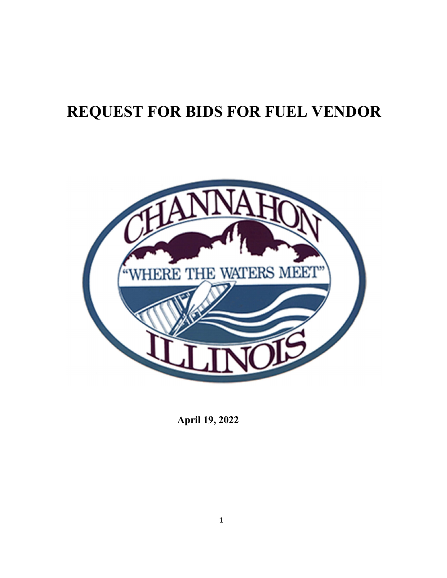# **REQUEST FOR BIDS FOR FUEL VENDOR**



**April 19, 2022**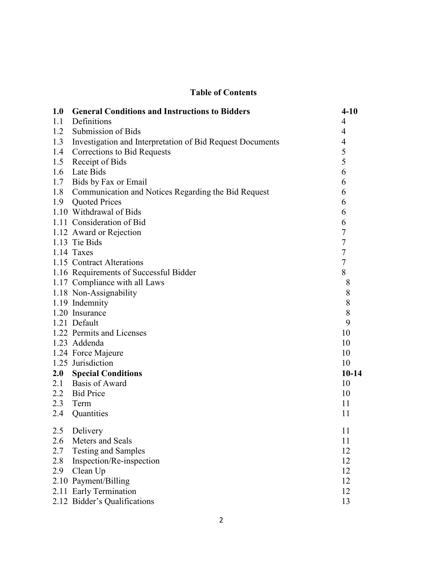## **Table of Contents**

| 1.0 | <b>General Conditions and Instructions to Bidders</b>         | $4 - 10$         |
|-----|---------------------------------------------------------------|------------------|
|     | 1.1 Definitions                                               | $\overline{4}$   |
|     | 1.2 Submission of Bids                                        | $\overline{4}$   |
|     | 1.3 Investigation and Interpretation of Bid Request Documents | $\overline{4}$   |
|     | 1.4 Corrections to Bid Requests                               | 5                |
|     | 1.5 Receipt of Bids                                           | 5                |
|     | 1.6 Late Bids                                                 | 6                |
|     | 1.7 Bids by Fax or Email                                      | 6                |
|     | 1.8 Communication and Notices Regarding the Bid Request       | 6                |
|     | 1.9 Quoted Prices                                             | 6                |
|     | 1.10 Withdrawal of Bids                                       | 6                |
|     | 1.11 Consideration of Bid                                     | 6                |
|     | 1.12 Award or Rejection                                       | $\overline{7}$   |
|     | 1.13 Tie Bids                                                 | $\boldsymbol{7}$ |
|     | 1.14 Taxes                                                    | $\boldsymbol{7}$ |
|     | 1.15 Contract Alterations                                     | $\overline{7}$   |
|     | 1.16 Requirements of Successful Bidder                        | 8                |
|     | 1.17 Compliance with all Laws                                 | 8                |
|     | 1.18 Non-Assignability                                        | 8                |
|     | 1.19 Indemnity                                                | 8                |
|     | 1.20 Insurance                                                | 8                |
|     | 1.21 Default                                                  | 9                |
|     | 1.22 Permits and Licenses                                     | 10               |
|     | 1.23 Addenda                                                  | 10               |
|     | 1.24 Force Majeure                                            | 10               |
|     | 1.25 Jurisdiction                                             | 10               |
|     | 2.0 Special Conditions                                        | $10-14$          |
|     | 2.1 Basis of Award                                            | 10               |
|     | 2.2 Bid Price                                                 | 10               |
|     | 2.3 Term                                                      | 11               |
| 2.4 | Quantities                                                    | 11               |
| 2.5 | Delivery                                                      | 11               |
| 2.6 | Meters and Seals                                              | 11               |
| 2.7 | <b>Testing and Samples</b>                                    | 12               |
| 2.8 | Inspection/Re-inspection                                      | 12               |
| 2.9 | Clean Up                                                      | 12               |
|     | 2.10 Payment/Billing                                          | 12               |
|     | 2.11 Early Termination                                        | 12               |
|     | 2.12 Bidder's Qualifications                                  | 13               |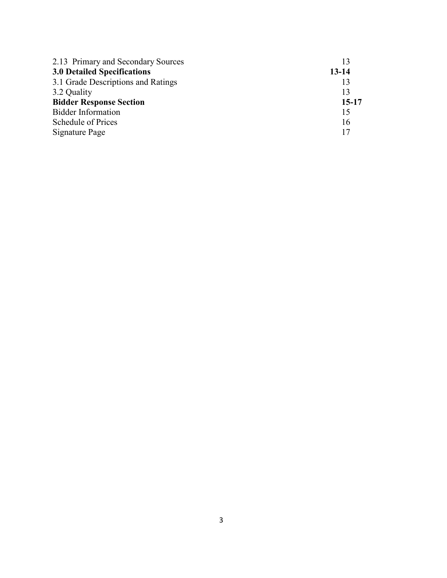| 2.13 Primary and Secondary Sources | 13        |
|------------------------------------|-----------|
| <b>3.0 Detailed Specifications</b> | $13 - 14$ |
| 3.1 Grade Descriptions and Ratings | 13        |
| 3.2 Quality                        | 13        |
| <b>Bidder Response Section</b>     | $15-17$   |
| <b>Bidder Information</b>          | 15        |
| Schedule of Prices                 | 16        |
| Signature Page                     | 17        |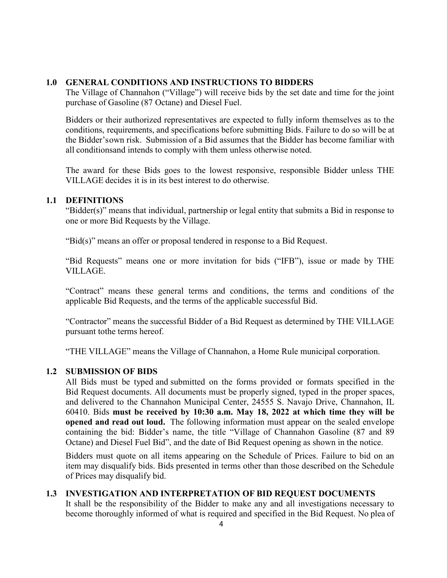## <span id="page-3-0"></span>**1.0 GENERAL CONDITIONS AND INSTRUCTIONS TO BIDDERS**

The Village of Channahon ("Village") will receive bids by the set date and time for the joint purchase of Gasoline (87 Octane) and Diesel Fuel.

Bidders or their authorized representatives are expected to fully inform themselves as to the conditions, requirements, and specifications before submitting Bids. Failure to do so will be at the Bidder'sown risk. Submission of a Bid assumes that the Bidder has become familiar with all conditionsand intends to comply with them unless otherwise noted.

The award for these Bids goes to the lowest responsive, responsible Bidder unless THE VILLAGE decides it is in its best interest to do otherwise.

## <span id="page-3-1"></span>**1.1 DEFINITIONS**

"Bidder(s)" means that individual, partnership or legal entity that submits a Bid in response to one or more Bid Requests by the Village.

"Bid(s)" means an offer or proposal tendered in response to a Bid Request.

"Bid Requests" means one or more invitation for bids ("IFB"), issue or made by THE VILLAGE.

"Contract" means these general terms and conditions, the terms and conditions of the applicable Bid Requests, and the terms of the applicable successful Bid.

"Contractor" means the successful Bidder of a Bid Request as determined by THE VILLAGE pursuant tothe terms hereof.

"THE VILLAGE" means the Village of Channahon, a Home Rule municipal corporation.

## <span id="page-3-2"></span>**1.2 SUBMISSION OF BIDS**

All Bids must be typed and submitted on the forms provided or formats specified in the Bid Request documents. All documents must be properly signed, typed in the proper spaces, and delivered to the Channahon Municipal Center, 24555 S. Navajo Drive, Channahon, IL 60410. Bids **must be received by 10:30 a.m. May 18, 2022 at which time they will be opened and read out loud.** The following information must appear on the sealed envelope containing the bid: Bidder's name, the title "Village of Channahon Gasoline (87 and 89 Octane) and Diesel Fuel Bid", and the date of Bid Request opening as shown in the notice.

Bidders must quote on all items appearing on the Schedule of Prices. Failure to bid on an item may disqualify bids. Bids presented in terms other than those described on the Schedule of Prices may disqualify bid.

## <span id="page-3-3"></span>**1.3 INVESTIGATION AND INTERPRETATION OF BID REQUEST DOCUMENTS**

It shall be the responsibility of the Bidder to make any and all investigations necessary to become thoroughly informed of what is required and specified in the Bid Request. No plea of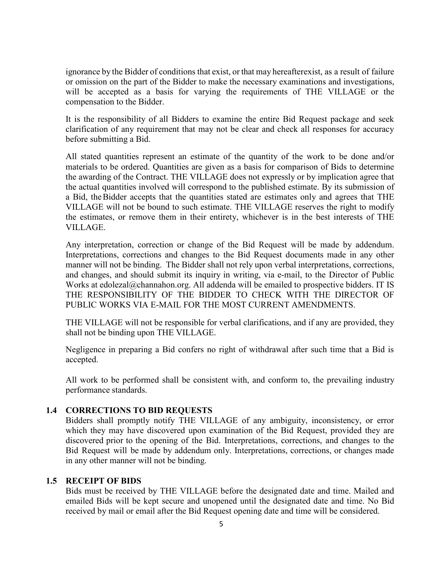ignorance by the Bidder of conditions that exist, or that may hereafterexist, as a result of failure or omission on the part of the Bidder to make the necessary examinations and investigations, will be accepted as a basis for varying the requirements of THE VILLAGE or the compensation to the Bidder.

It is the responsibility of all Bidders to examine the entire Bid Request package and seek clarification of any requirement that may not be clear and check all responses for accuracy before submitting a Bid.

All stated quantities represent an estimate of the quantity of the work to be done and/or materials to be ordered. Quantities are given as a basis for comparison of Bids to determine the awarding of the Contract. THE VILLAGE does not expressly or by implication agree that the actual quantities involved will correspond to the published estimate. By its submission of a Bid, theBidder accepts that the quantities stated are estimates only and agrees that THE VILLAGE will not be bound to such estimate. THE VILLAGE reserves the right to modify the estimates, or remove them in their entirety, whichever is in the best interests of THE VILLAGE.

Any interpretation, correction or change of the Bid Request will be made by addendum. Interpretations, corrections and changes to the Bid Request documents made in any other manner will not be binding. The Bidder shall not rely upon verbal interpretations, corrections, and changes, and should submit its inquiry in writing, via e-mail, to the Director of Public Works at edolezal@channahon.org. All addenda will be emailed to prospective bidders. IT IS THE RESPONSIBILITY OF THE BIDDER TO CHECK WITH THE DIRECTOR OF PUBLIC WORKS VIA E-MAIL FOR THE MOST CURRENT AMENDMENTS.

THE VILLAGE will not be responsible for verbal clarifications, and if any are provided, they shall not be binding upon THE VILLAGE.

Negligence in preparing a Bid confers no right of withdrawal after such time that a Bid is accepted.

All work to be performed shall be consistent with, and conform to, the prevailing industry performance standards.

## <span id="page-4-0"></span>**1.4 CORRECTIONS TO BID REQUESTS**

Bidders shall promptly notify THE VILLAGE of any ambiguity, inconsistency, or error which they may have discovered upon examination of the Bid Request, provided they are discovered prior to the opening of the Bid. Interpretations, corrections, and changes to the Bid Request will be made by addendum only. Interpretations, corrections, or changes made in any other manner will not be binding.

#### <span id="page-4-1"></span>**1.5 RECEIPT OF BIDS**

Bids must be received by THE VILLAGE before the designated date and time. Mailed and emailed Bids will be kept secure and unopened until the designated date and time. No Bid received by mail or email after the Bid Request opening date and time will be considered.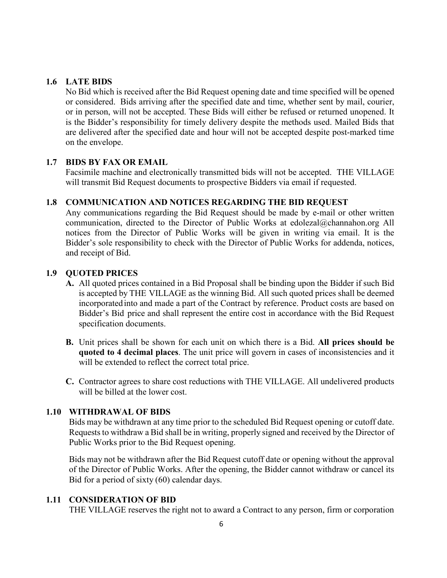### <span id="page-5-0"></span>**1.6 LATE BIDS**

No Bid which is received after the Bid Request opening date and time specified will be opened or considered. Bids arriving after the specified date and time, whether sent by mail, courier, or in person, will not be accepted. These Bids will either be refused or returned unopened. It is the Bidder's responsibility for timely delivery despite the methods used. Mailed Bids that are delivered after the specified date and hour will not be accepted despite post-marked time on the envelope.

#### <span id="page-5-1"></span>**1.7 BIDS BY FAX OR EMAIL**

Facsimile machine and electronically transmitted bids will not be accepted. THE VILLAGE will transmit Bid Request documents to prospective Bidders via email if requested.

### <span id="page-5-2"></span>**1.8 COMMUNICATION AND NOTICES REGARDING THE BID REQUEST**

Any communications regarding the Bid Request should be made by e-mail or other written communication, directed to the Director of Public Works at edolezal@channahon.org All notices from the Director of Public Works will be given in writing via email. It is the Bidder's sole responsibility to check with the Director of Public Works for addenda, notices, and receipt of Bid.

### <span id="page-5-3"></span>**1.9 QUOTED PRICES**

- **A.** All quoted prices contained in a Bid Proposal shall be binding upon the Bidder if such Bid is accepted by THE VILLAGE as the winning Bid. All such quoted prices shall be deemed incorporated into and made a part of the Contract by reference. Product costs are based on Bidder's Bid price and shall represent the entire cost in accordance with the Bid Request specification documents.
- **B.** Unit prices shall be shown for each unit on which there is a Bid. **All prices should be quoted to 4 decimal places**. The unit price will govern in cases of inconsistencies and it will be extended to reflect the correct total price.
- **C.** Contractor agrees to share cost reductions with THE VILLAGE. All undelivered products will be billed at the lower cost.

#### <span id="page-5-4"></span>**1.10 WITHDRAWAL OF BIDS**

Bids may be withdrawn at any time prior to the scheduled Bid Request opening or cutoff date. Requests to withdraw a Bid shall be in writing, properly signed and received by the Director of Public Works prior to the Bid Request opening.

Bids may not be withdrawn after the Bid Request cutoff date or opening without the approval of the Director of Public Works. After the opening, the Bidder cannot withdraw or cancel its Bid for a period of sixty (60) calendar days.

#### <span id="page-5-5"></span>**1.11 CONSIDERATION OF BID**

THE VILLAGE reserves the right not to award a Contract to any person, firm or corporation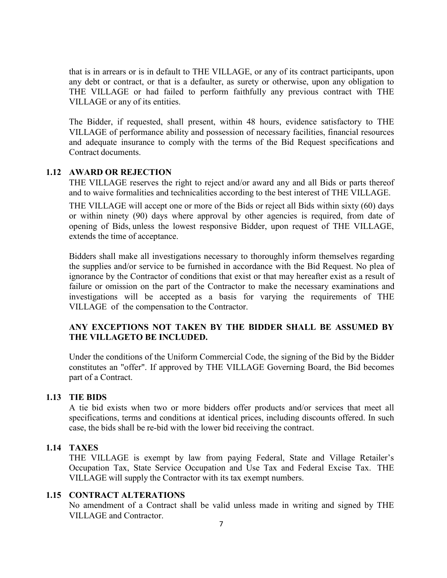that is in arrears or is in default to THE VILLAGE, or any of its contract participants, upon any debt or contract, or that is a defaulter, as surety or otherwise, upon any obligation to THE VILLAGE or had failed to perform faithfully any previous contract with THE VILLAGE or any of its entities.

The Bidder, if requested, shall present, within 48 hours, evidence satisfactory to THE VILLAGE of performance ability and possession of necessary facilities, financial resources and adequate insurance to comply with the terms of the Bid Request specifications and Contract documents.

#### <span id="page-6-0"></span>**1.12 AWARD OR REJECTION**

THE VILLAGE reserves the right to reject and/or award any and all Bids or parts thereof and to waive formalities and technicalities according to the best interest of THE VILLAGE.

THE VILLAGE will accept one or more of the Bids or reject all Bids within sixty (60) days or within ninety (90) days where approval by other agencies is required, from date of opening of Bids, unless the lowest responsive Bidder, upon request of THE VILLAGE, extends the time of acceptance.

Bidders shall make all investigations necessary to thoroughly inform themselves regarding the supplies and/or service to be furnished in accordance with the Bid Request. No plea of ignorance by the Contractor of conditions that exist or that may hereafter exist as a result of failure or omission on the part of the Contractor to make the necessary examinations and investigations will be accepted as a basis for varying the requirements of THE VILLAGE of the compensation to the Contractor.

## **ANY EXCEPTIONS NOT TAKEN BY THE BIDDER SHALL BE ASSUMED BY THE VILLAGETO BE INCLUDED.**

Under the conditions of the Uniform Commercial Code, the signing of the Bid by the Bidder constitutes an "offer". If approved by THE VILLAGE Governing Board, the Bid becomes part of a Contract.

## <span id="page-6-1"></span>**1.13 TIE BIDS**

A tie bid exists when two or more bidders offer products and/or services that meet all specifications, terms and conditions at identical prices, including discounts offered. In such case, the bids shall be re-bid with the lower bid receiving the contract.

#### <span id="page-6-2"></span>**1.14 TAXES**

THE VILLAGE is exempt by law from paying Federal, State and Village Retailer's Occupation Tax, State Service Occupation and Use Tax and Federal Excise Tax. THE VILLAGE will supply the Contractor with its tax exempt numbers.

#### <span id="page-6-3"></span>**1.15 CONTRACT ALTERATIONS**

No amendment of a Contract shall be valid unless made in writing and signed by THE VILLAGE and Contractor.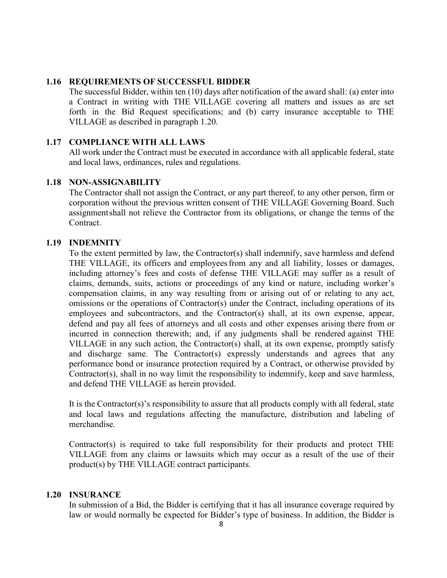### <span id="page-7-0"></span>**1.16 REQUIREMENTS OF SUCCESSFUL BIDDER**

The successful Bidder, within ten (10) days after notification of the award shall: (a) enter into a Contract in writing with THE VILLAGE covering all matters and issues as are set forth in the Bid Request specifications; and (b) carry insurance acceptable to THE VILLAGE as described in paragraph 1.20.

## <span id="page-7-1"></span>**1.17 COMPLIANCE WITH ALL LAWS**

All work under the Contract must be executed in accordance with all applicable federal, state and local laws, ordinances, rules and regulations.

## <span id="page-7-2"></span>**1.18 NON-ASSIGNABILITY**

The Contractor shall not assign the Contract, or any part thereof, to any other person, firm or corporation without the previous written consent of THE VILLAGE Governing Board. Such assignmentshall not relieve the Contractor from its obligations, or change the terms of the Contract.

#### <span id="page-7-3"></span>**1.19 INDEMNITY**

To the extent permitted by law, the Contractor(s) shall indemnify, save harmless and defend THE VILLAGE, its officers and employeesfrom any and all liability, losses or damages, including attorney's fees and costs of defense THE VILLAGE may suffer as a result of claims, demands, suits, actions or proceedings of any kind or nature, including worker's compensation claims, in any way resulting from or arising out of or relating to any act, omissions or the operations of Contractor(s) under the Contract, including operations of its employees and subcontractors, and the Contractor(s) shall, at its own expense, appear, defend and pay all fees of attorneys and all costs and other expenses arising there from or incurred in connection therewith; and, if any judgments shall be rendered against THE VILLAGE in any such action, the Contractor(s) shall, at its own expense, promptly satisfy and discharge same. The Contractor(s) expressly understands and agrees that any performance bond or insurance protection required by a Contract, or otherwise provided by Contractor(s), shall in no way limit the responsibility to indemnify, keep and save harmless, and defend THE VILLAGE as herein provided.

It is the Contractor(s)'s responsibility to assure that all products comply with all federal, state and local laws and regulations affecting the manufacture, distribution and labeling of merchandise.

Contractor(s) is required to take full responsibility for their products and protect THE VILLAGE from any claims or lawsuits which may occur as a result of the use of their product(s) by THE VILLAGE contract participants.

## <span id="page-7-4"></span>**1.20 INSURANCE**

In submission of a Bid, the Bidder is certifying that it has all insurance coverage required by law or would normally be expected for Bidder's type of business. In addition, the Bidder is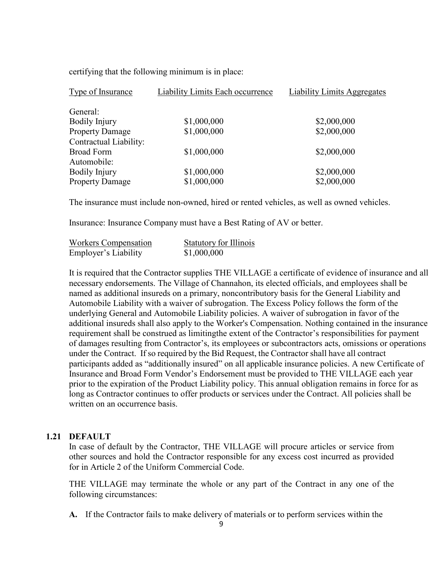| <b>Type of Insurance</b> | Liability Limits Each occurrence | <b>Liability Limits Aggregates</b> |
|--------------------------|----------------------------------|------------------------------------|
| General:                 |                                  |                                    |
| Bodily Injury            | \$1,000,000                      | \$2,000,000                        |
| <b>Property Damage</b>   | \$1,000,000                      | \$2,000,000                        |
| Contractual Liability:   |                                  |                                    |
| <b>Broad Form</b>        | \$1,000,000                      | \$2,000,000                        |
| Automobile:              |                                  |                                    |
| Bodily Injury            | \$1,000,000                      | \$2,000,000                        |
| <b>Property Damage</b>   | \$1,000,000                      | \$2,000,000                        |

certifying that the following minimum is in place:

The insurance must include non-owned, hired or rented vehicles, as well as owned vehicles.

Insurance: Insurance Company must have a Best Rating of AV or better.

| <b>Workers Compensation</b> | <b>Statutory for Illinois</b> |
|-----------------------------|-------------------------------|
| Employer's Liability        | \$1,000,000                   |

It is required that the Contractor supplies THE VILLAGE a certificate of evidence of insurance and all necessary endorsements. The Village of Channahon, its elected officials, and employees shall be named as additional insureds on a primary, noncontributory basis for the General Liability and Automobile Liability with a waiver of subrogation. The Excess Policy follows the form of the underlying General and Automobile Liability policies. A waiver of subrogation in favor of the additional insureds shall also apply to the Worker's Compensation. Nothing contained in the insurance requirement shall be construed as limiting the extent of the Contractor's responsibilities for payment of damages resulting from Contractor's, its employees or subcontractors acts, omissions or operations under the Contract. If so required by the Bid Request, the Contractor shall have all contract participants added as "additionally insured" on all applicable insurance policies. A new Certificate of Insurance and Broad Form Vendor's Endorsement must be provided to THE VILLAGE each year prior to the expiration of the Product Liability policy. This annual obligation remains in force for as long as Contractor continues to offer products or services under the Contract. All policies shall be written on an occurrence basis.

#### <span id="page-8-0"></span>**1.21 DEFAULT**

In case of default by the Contractor, THE VILLAGE will procure articles or service from other sources and hold the Contractor responsible for any excess cost incurred as provided for in Article 2 of the Uniform Commercial Code.

THE VILLAGE may terminate the whole or any part of the Contract in any one of the following circumstances:

**A.** If the Contractor fails to make delivery of materials or to perform services within the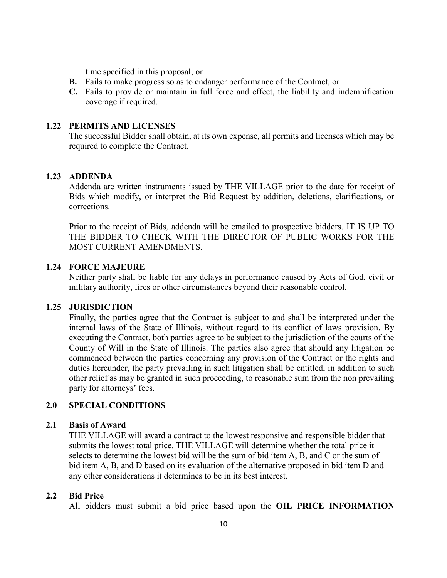time specified in this proposal; or

- **B.** Fails to make progress so as to endanger performance of the Contract, or
- **C.** Fails to provide or maintain in full force and effect, the liability and indemnification coverage if required.

#### <span id="page-9-0"></span>**1.22 PERMITS AND LICENSES**

The successful Bidder shall obtain, at its own expense, all permits and licenses which may be required to complete the Contract.

#### <span id="page-9-1"></span>**1.23 ADDENDA**

Addenda are written instruments issued by THE VILLAGE prior to the date for receipt of Bids which modify, or interpret the Bid Request by addition, deletions, clarifications, or corrections.

Prior to the receipt of Bids, addenda will be emailed to prospective bidders. IT IS UP TO THE BIDDER TO CHECK WITH THE DIRECTOR OF PUBLIC WORKS FOR THE MOST CURRENT AMENDMENTS.

#### <span id="page-9-2"></span>**1.24 FORCE MAJEURE**

Neither party shall be liable for any delays in performance caused by Acts of God, civil or military authority, fires or other circumstances beyond their reasonable control.

#### <span id="page-9-3"></span>**1.25 JURISDICTION**

Finally, the parties agree that the Contract is subject to and shall be interpreted under the internal laws of the State of Illinois, without regard to its conflict of laws provision. By executing the Contract, both parties agree to be subject to the jurisdiction of the courts of the County of Will in the State of Illinois. The parties also agree that should any litigation be commenced between the parties concerning any provision of the Contract or the rights and duties hereunder, the party prevailing in such litigation shall be entitled, in addition to such other relief as may be granted in such proceeding, to reasonable sum from the non prevailing party for attorneys' fees.

## <span id="page-9-4"></span>**2.0 SPECIAL CONDITIONS**

#### <span id="page-9-5"></span>**2.1 Basis of Award**

THE VILLAGE will award a contract to the lowest responsive and responsible bidder that submits the lowest total price. THE VILLAGE will determine whether the total price it selects to determine the lowest bid will be the sum of bid item A, B, and C or the sum of bid item A, B, and D based on its evaluation of the alternative proposed in bid item D and any other considerations it determines to be in its best interest.

#### <span id="page-9-6"></span>**2.2 Bid Price**

All bidders must submit a bid price based upon the **OIL PRICE INFORMATION**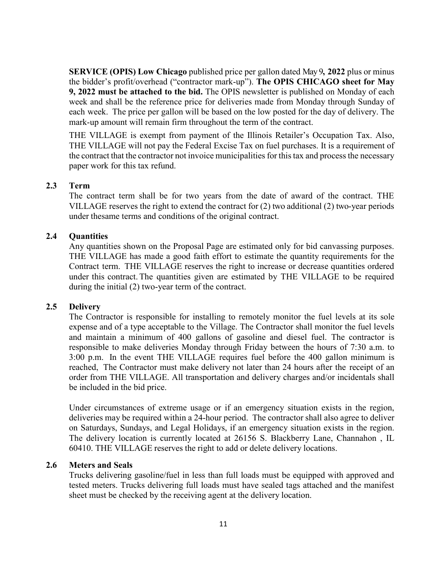**SERVICE (OPIS) Low Chicago** published price per gallon dated May 9**, 2022** plus or minus the bidder's profit/overhead ("contractor mark-up"). **The OPIS CHICAGO sheet for May 9, 2022 must be attached to the bid.** The OPIS newsletter is published on Monday of each week and shall be the reference price for deliveries made from Monday through Sunday of each week. The price per gallon will be based on the low posted for the day of delivery. The mark-up amount will remain firm throughout the term of the contract.

THE VILLAGE is exempt from payment of the Illinois Retailer's Occupation Tax. Also, THE VILLAGE will not pay the Federal Excise Tax on fuel purchases. It is a requirement of the contract that the contractor not invoice municipalities for this tax and process the necessary paper work for this tax refund.

## <span id="page-10-0"></span>**2.3 Term**

The contract term shall be for two years from the date of award of the contract. THE VILLAGE reserves the right to extend the contract for (2) two additional (2) two-year periods under thesame terms and conditions of the original contract.

#### <span id="page-10-1"></span>**2.4 Quantities**

Any quantities shown on the Proposal Page are estimated only for bid canvassing purposes. THE VILLAGE has made a good faith effort to estimate the quantity requirements for the Contract term. THE VILLAGE reserves the right to increase or decrease quantities ordered under this contract. The quantities given are estimated by THE VILLAGE to be required during the initial (2) two-year term of the contract.

#### <span id="page-10-2"></span>**2.5 Delivery**

The Contractor is responsible for installing to remotely monitor the fuel levels at its sole expense and of a type acceptable to the Village. The Contractor shall monitor the fuel levels and maintain a minimum of 400 gallons of gasoline and diesel fuel. The contractor is responsible to make deliveries Monday through Friday between the hours of 7:30 a.m. to 3:00 p.m. In the event THE VILLAGE requires fuel before the 400 gallon minimum is reached, The Contractor must make delivery not later than 24 hours after the receipt of an order from THE VILLAGE. All transportation and delivery charges and/or incidentals shall be included in the bid price.

Under circumstances of extreme usage or if an emergency situation exists in the region, deliveries may be required within a 24-hour period. The contractor shall also agree to deliver on Saturdays, Sundays, and Legal Holidays, if an emergency situation exists in the region. The delivery location is currently located at 26156 S. Blackberry Lane, Channahon , IL 60410. THE VILLAGE reserves the right to add or delete delivery locations.

#### <span id="page-10-3"></span>**2.6 Meters and Seals**

Trucks delivering gasoline/fuel in less than full loads must be equipped with approved and tested meters. Trucks delivering full loads must have sealed tags attached and the manifest sheet must be checked by the receiving agent at the delivery location.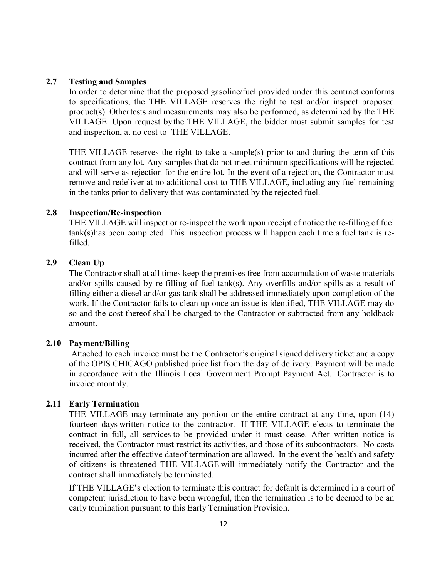#### <span id="page-11-0"></span>**2.7 Testing and Samples**

In order to determine that the proposed gasoline/fuel provided under this contract conforms to specifications, the THE VILLAGE reserves the right to test and/or inspect proposed product(s). Other tests and measurements may also be performed, as determined by the THE VILLAGE. Upon request bythe THE VILLAGE, the bidder must submit samples for test and inspection, at no cost to THE VILLAGE.

THE VILLAGE reserves the right to take a sample(s) prior to and during the term of this contract from any lot. Any samples that do not meet minimum specifications will be rejected and will serve as rejection for the entire lot. In the event of a rejection, the Contractor must remove and redeliver at no additional cost to THE VILLAGE, including any fuel remaining in the tanks prior to delivery that was contaminated by the rejected fuel.

### <span id="page-11-1"></span>**2.8 Inspection/Re-inspection**

THE VILLAGE will inspect or re-inspect the work upon receipt of notice the re-filling of fuel tank(s)has been completed. This inspection process will happen each time a fuel tank is refilled.

## <span id="page-11-2"></span>**2.9 Clean Up**

The Contractor shall at all times keep the premises free from accumulation of waste materials and/or spills caused by re-filling of fuel tank(s). Any overfills and/or spills as a result of filling either a diesel and/or gas tank shall be addressed immediately upon completion of the work. If the Contractor fails to clean up once an issue is identified, THE VILLAGE may do so and the cost thereof shall be charged to the Contractor or subtracted from any holdback amount.

#### <span id="page-11-3"></span>**2.10 Payment/Billing**

Attached to each invoice must be the Contractor's original signed delivery ticket and a copy of the OPIS CHICAGO published price list from the day of delivery. Payment will be made in accordance with the Illinois Local Government Prompt Payment Act. Contractor is to invoice monthly.

## <span id="page-11-4"></span>**2.11 Early Termination**

THE VILLAGE may terminate any portion or the entire contract at any time, upon (14) fourteen days written notice to the contractor. If THE VILLAGE elects to terminate the contract in full, all services to be provided under it must cease. After written notice is received, the Contractor must restrict its activities, and those of its subcontractors. No costs incurred after the effective dateof termination are allowed. In the event the health and safety of citizens is threatened THE VILLAGE will immediately notify the Contractor and the contract shall immediately be terminated.

If THE VILLAGE's election to terminate this contract for default is determined in a court of competent jurisdiction to have been wrongful, then the termination is to be deemed to be an early termination pursuant to this Early Termination Provision.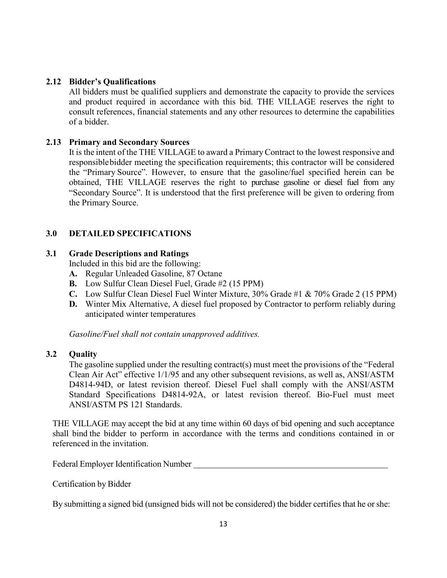## <span id="page-12-0"></span>**2.12 Bidder's Qualifications**

All bidders must be qualified suppliers and demonstrate the capacity to provide the services and product required in accordance with this bid. THE VILLAGE reserves the right to consult references, financial statements and any other resources to determine the capabilities of a bidder.

## <span id="page-12-1"></span>**2.13 Primary and Secondary Sources**

It is the intent of the THE VILLAGE to award a PrimaryContract to the lowest responsive and responsible bidder meeting the specification requirements; this contractor will be considered the "Primary Source". However, to ensure that the gasoline/fuel specified herein can be obtained, THE VILLAGE reserves the right to purchase gasoline or diesel fuel from any "Secondary Source". It is understood that the first preference will be given to ordering from the Primary Source.

## <span id="page-12-2"></span>**3.0 DETAILED SPECIFICATIONS**

## <span id="page-12-3"></span>**3.1 Grade Descriptions and Ratings**

Included in this bid are the following:

- **A.** Regular Unleaded Gasoline, 87 Octane
- **B.** Low Sulfur Clean Diesel Fuel, Grade #2 (15 PPM)
- **C.** Low Sulfur Clean Diesel Fuel Winter Mixture, 30% Grade #1 & 70% Grade 2 (15 PPM)
- **D.** Winter Mix Alternative, A diesel fuel proposed by Contractor to perform reliably during anticipated winter temperatures

*Gasoline/Fuel shall not contain unapproved additives.* 

## <span id="page-12-4"></span>**3.2 Quality**

The gasoline supplied under the resulting contract(s) must meet the provisions of the "Federal Clean Air Act" effective 1/1/95 and any other subsequent revisions, as well as, ANSI/ASTM D4814-94D, or latest revision thereof. Diesel Fuel shall comply with the ANSI/ASTM Standard Specifications D4814-92A, or latest revision thereof. Bio-Fuel must meet ANSI/ASTM PS 121 Standards.

THE VILLAGE may accept the bid at any time within 60 days of bid opening and such acceptance shall bind the bidder to perform in accordance with the terms and conditions contained in or referenced in the invitation.

Federal Employer Identification Number

Certification by Bidder

By submitting a signed bid (unsigned bids will not be considered) the bidder certifies that he or she: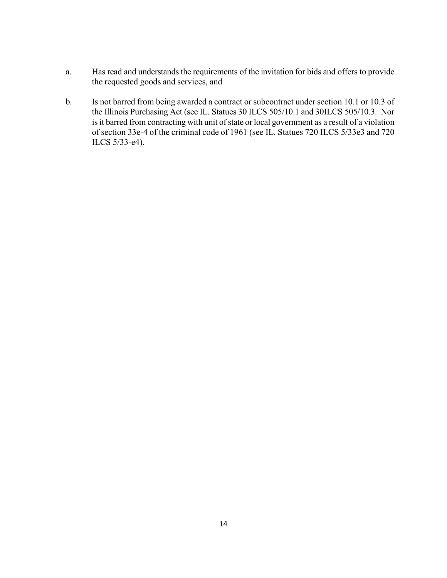- a. Has read and understands the requirements of the invitation for bids and offers to provide the requested goods and services, and
- b. Is not barred from being awarded a contract or subcontract under section 10.1 or 10.3 of the Illinois Purchasing Act (see IL. Statues 30 ILCS 505/10.1 and 30ILCS 505/10.3. Nor is it barred from contracting with unit of state or local government as a result of a violation of section 33e-4 of the criminal code of 1961 (see IL. Statues 720 ILCS 5/33e3 and 720 ILCS 5/33-e4).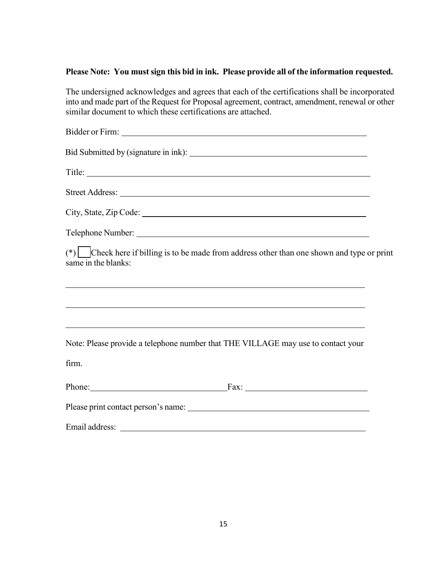## **Please Note: You must sign this bid in ink. Please provide all of the information requested.**

The undersigned acknowledges and agrees that each of the certifications shall be incorporated into and made part of the Request for Proposal agreement, contract, amendment, renewal or other similar document to which these certifications are attached.

| (*) $\Box$ Check here if billing is to be made from address other than one shown and type or print<br>same in the blanks:                                                                                                      |  |
|--------------------------------------------------------------------------------------------------------------------------------------------------------------------------------------------------------------------------------|--|
| <u> 1999 - Jan Samuel Barbara, margaret eta idazlearen 1992an eta idazlearen 1992ko hamarkada eta idazlea zituen</u>                                                                                                           |  |
| <u> 1989 - Johann Stoff, deutscher Stoffen und der Stoffen und der Stoffen und der Stoffen und der Stoffen und der</u><br>Note: Please provide a telephone number that THE VILLAGE may use to contact your                     |  |
| firm.                                                                                                                                                                                                                          |  |
|                                                                                                                                                                                                                                |  |
|                                                                                                                                                                                                                                |  |
| Email address: Lawrence and the contract of the contract of the contract of the contract of the contract of the contract of the contract of the contract of the contract of the contract of the contract of the contract of th |  |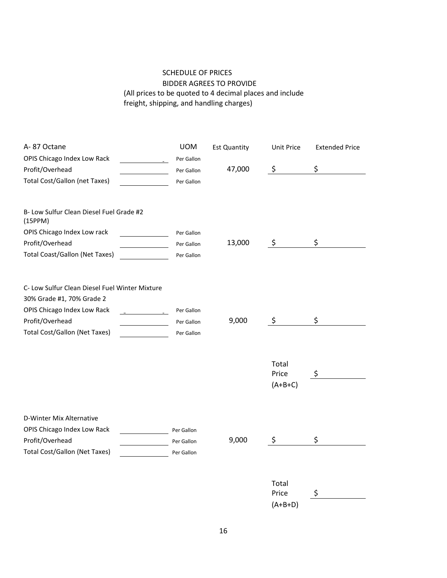## SCHEDULE OF PRICES

## BIDDER AGREES TO PROVIDE (All prices to be quoted to 4 decimal places and include freight, shipping, and handling charges)

| A-87 Octane                                                                 | <b>UOM</b> | <b>Est Quantity</b> | Unit Price                  | <b>Extended Price</b> |
|-----------------------------------------------------------------------------|------------|---------------------|-----------------------------|-----------------------|
| OPIS Chicago Index Low Rack                                                 | Per Gallon |                     |                             |                       |
| Profit/Overhead                                                             | Per Gallon | 47,000              | \$                          | \$                    |
| <b>Total Cost/Gallon (net Taxes)</b>                                        | Per Gallon |                     |                             |                       |
| B- Low Sulfur Clean Diesel Fuel Grade #2<br>(15PPM)                         |            |                     |                             |                       |
| OPIS Chicago Index Low rack                                                 | Per Gallon |                     |                             |                       |
| Profit/Overhead                                                             | Per Gallon | 13,000              | $\ddot{\zeta}$              | \$                    |
| <b>Total Coast/Gallon (Net Taxes)</b>                                       | Per Gallon |                     |                             |                       |
| C- Low Sulfur Clean Diesel Fuel Winter Mixture<br>30% Grade #1, 70% Grade 2 |            |                     |                             |                       |
| OPIS Chicago Index Low Rack                                                 | Per Gallon |                     |                             |                       |
| Profit/Overhead                                                             | Per Gallon | 9,000               | \$                          | \$                    |
| <b>Total Cost/Gallon (Net Taxes)</b>                                        | Per Gallon |                     |                             |                       |
|                                                                             |            |                     | Total<br>Price<br>$(A+B+C)$ | \$                    |
| D-Winter Mix Alternative                                                    |            |                     |                             |                       |
| OPIS Chicago Index Low Rack                                                 | Per Gallon |                     |                             |                       |
| Profit/Overhead                                                             | Per Gallon | 9,000               | \$                          | \$                    |
| <b>Total Cost/Gallon (Net Taxes)</b>                                        | Per Gallon |                     |                             |                       |
|                                                                             |            |                     | Total                       |                       |
|                                                                             |            |                     | Price                       | \$                    |
|                                                                             |            |                     | $(A+B+D)$                   |                       |